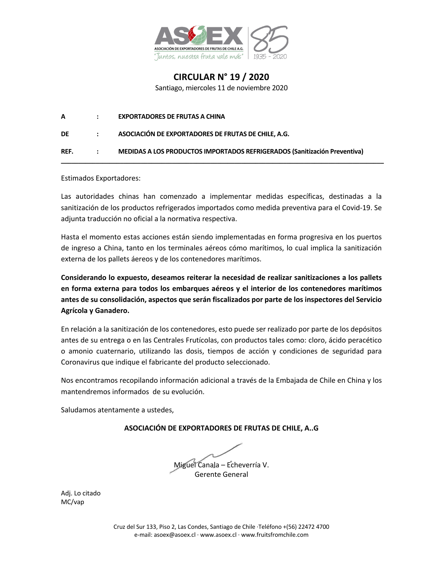

**CIRCULAR N° 19 / 2020** Santiago, miercoles 11 de noviembre 2020

| REF. | $-1.1$       | MEDIDAS A LOS PRODUCTOS IMPORTADOS REFRIGERADOS (Sanitización Preventiva) |
|------|--------------|---------------------------------------------------------------------------|
| DE   | $\mathbf{r}$ | ASOCIACIÓN DE EXPORTADORES DE FRUTAS DE CHILE, A.G.                       |
| A    |              | <b>EXPORTADORES DE FRUTAS A CHINA</b>                                     |

Estimados Exportadores:

Las autoridades chinas han comenzado a implementar medidas específicas, destinadas a la sanitización de los productos refrigerados importados como medida preventiva para el Covid-19. Se adjunta traducción no oficial a la normativa respectiva.

Hasta el momento estas acciones están siendo implementadas en forma progresiva en los puertos de ingreso a China, tanto en los terminales aéreos cómo marítimos, lo cual implica la sanitización externa de los pallets áereos y de los contenedores marítimos.

**Considerando lo expuesto, deseamos reiterar la necesidad de realizar sanitizaciones a los pallets en forma externa para todos los embarques aéreos y el interior de los contenedores marítimos antes de su consolidación, aspectos que serán fiscalizados por parte de los inspectores del Servicio Agrícola y Ganadero.**

En relación a la sanitización de los contenedores, esto puede ser realizado por parte de los depósitos antes de su entrega o en las Centrales Frutícolas, con productos tales como: cloro, ácido peracético o amonio cuaternario, utilizando las dosis, tiempos de acción y condiciones de seguridad para Coronavirus que indique el fabricante del producto seleccionado.

Nos encontramos recopilando información adicional a través de la Embajada de Chile en China y los mantendremos informados de su evolución.

Saludamos atentamente a ustedes,

**ASOCIACIÓN DE EXPORTADORES DE FRUTAS DE CHILE, A..G**

Miguel Canala – Echeverría V. Gerente General

Adj. Lo citado MC/vap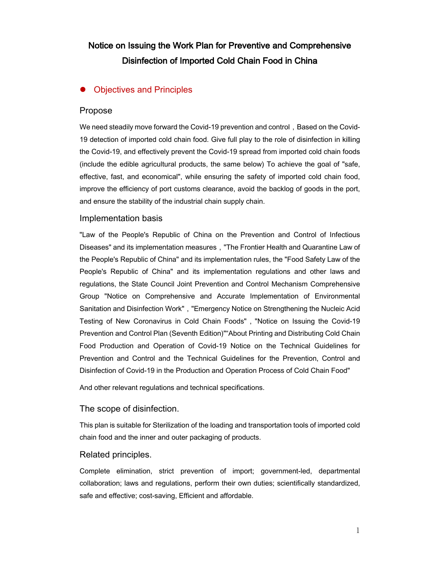# Notice on Issuing the Work Plan for Preventive and Comprehensive Disinfection of Imported Cold Chain Food in China

# • Objectives and Principles

#### Propose

We need steadily move forward the Covid-19 prevention and control, Based on the Covid-19 detection of imported cold chain food. Give full play to the role of disinfection in killing the Covid-19, and effectively prevent the Covid-19 spread from imported cold chain foods (include the edible agricultural products, the same below) To achieve the goal of "safe, effective, fast, and economical", while ensuring the safety of imported cold chain food, improve the efficiency of port customs clearance, avoid the backlog of goods in the port, and ensure the stability of the industrial chain supply chain.

#### Implementation basis

"Law of the People's Republic of China on the Prevention and Control of Infectious Diseases" and its implementation measures,"The Frontier Health and Quarantine Law of the People's Republic of China" and its implementation rules, the "Food Safety Law of the People's Republic of China" and its implementation regulations and other laws and regulations, the State Council Joint Prevention and Control Mechanism Comprehensive Group "Notice on Comprehensive and Accurate Implementation of Environmental Sanitation and Disinfection Work","Emergency Notice on Strengthening the Nucleic Acid Testing of New Coronavirus in Cold Chain Foods","Notice on Issuing the Covid-19 Prevention and Control Plan (Seventh Edition)""About Printing and Distributing Cold Chain Food Production and Operation of Covid-19 Notice on the Technical Guidelines for Prevention and Control and the Technical Guidelines for the Prevention, Control and Disinfection of Covid-19 in the Production and Operation Process of Cold Chain Food"

And other relevant regulations and technical specifications.

## The scope of disinfection.

This plan is suitable for Sterilization of the loading and transportation tools of imported cold chain food and the inner and outer packaging of products.

## Related principles.

Complete elimination, strict prevention of import; government-led, departmental collaboration; laws and regulations, perform their own duties; scientifically standardized, safe and effective; cost-saving, Efficient and affordable.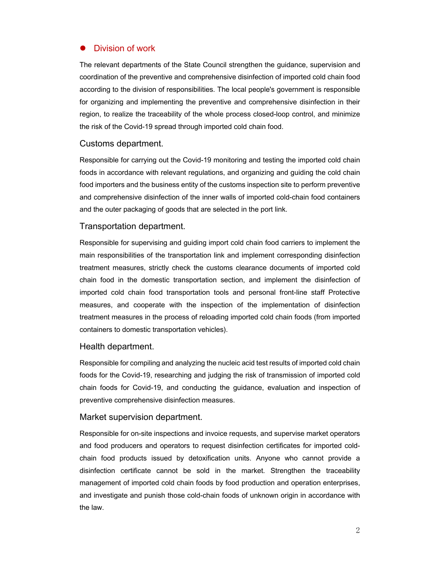# Division of work

The relevant departments of the State Council strengthen the guidance, supervision and coordination of the preventive and comprehensive disinfection of imported cold chain food according to the division of responsibilities. The local people's government is responsible for organizing and implementing the preventive and comprehensive disinfection in their region, to realize the traceability of the whole process closed-loop control, and minimize the risk of the Covid-19 spread through imported cold chain food.

# Customs department.

Responsible for carrying out the Covid-19 monitoring and testing the imported cold chain foods in accordance with relevant regulations, and organizing and guiding the cold chain food importers and the business entity of the customs inspection site to perform preventive and comprehensive disinfection of the inner walls of imported cold-chain food containers and the outer packaging of goods that are selected in the port link.

# Transportation department.

Responsible for supervising and guiding import cold chain food carriers to implement the main responsibilities of the transportation link and implement corresponding disinfection treatment measures, strictly check the customs clearance documents of imported cold chain food in the domestic transportation section, and implement the disinfection of imported cold chain food transportation tools and personal front-line staff Protective measures, and cooperate with the inspection of the implementation of disinfection treatment measures in the process of reloading imported cold chain foods (from imported containers to domestic transportation vehicles).

## Health department.

Responsible for compiling and analyzing the nucleic acid test results of imported cold chain foods for the Covid-19, researching and judging the risk of transmission of imported cold chain foods for Covid-19, and conducting the guidance, evaluation and inspection of preventive comprehensive disinfection measures.

## Market supervision department.

Responsible for on-site inspections and invoice requests, and supervise market operators and food producers and operators to request disinfection certificates for imported coldchain food products issued by detoxification units. Anyone who cannot provide a disinfection certificate cannot be sold in the market. Strengthen the traceability management of imported cold chain foods by food production and operation enterprises, and investigate and punish those cold-chain foods of unknown origin in accordance with the law.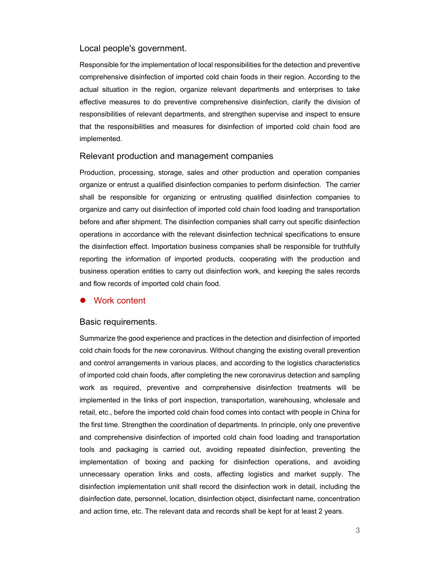#### Local people's government.

Responsible for the implementation of local responsibilities for the detection and preventive comprehensive disinfection of imported cold chain foods in their region. According to the actual situation in the region, organize relevant departments and enterprises to take effective measures to do preventive comprehensive disinfection, clarify the division of responsibilities of relevant departments, and strengthen supervise and inspect to ensure that the responsibilities and measures for disinfection of imported cold chain food are implemented.

#### Relevant production and management companies

Production, processing, storage, sales and other production and operation companies organize or entrust a qualified disinfection companies to perform disinfection. The carrier shall be responsible for organizing or entrusting qualified disinfection companies to organize and carry out disinfection of imported cold chain food loading and transportation before and after shipment. The disinfection companies shall carry out specific disinfection operations in accordance with the relevant disinfection technical specifications to ensure the disinfection effect. Importation business companies shall be responsible for truthfully reporting the information of imported products, cooperating with the production and business operation entities to carry out disinfection work, and keeping the sales records and flow records of imported cold chain food.

#### l Work content

#### Basic requirements.

Summarize the good experience and practices in the detection and disinfection of imported cold chain foods for the new coronavirus. Without changing the existing overall prevention and control arrangements in various places, and according to the logistics characteristics of imported cold chain foods, after completing the new coronavirus detection and sampling work as required, preventive and comprehensive disinfection treatments will be implemented in the links of port inspection, transportation, warehousing, wholesale and retail, etc., before the imported cold chain food comes into contact with people in China for the first time. Strengthen the coordination of departments. In principle, only one preventive and comprehensive disinfection of imported cold chain food loading and transportation tools and packaging is carried out, avoiding repeated disinfection, preventing the implementation of boxing and packing for disinfection operations, and avoiding unnecessary operation links and costs, affecting logistics and market supply. The disinfection implementation unit shall record the disinfection work in detail, including the disinfection date, personnel, location, disinfection object, disinfectant name, concentration and action time, etc. The relevant data and records shall be kept for at least 2 years.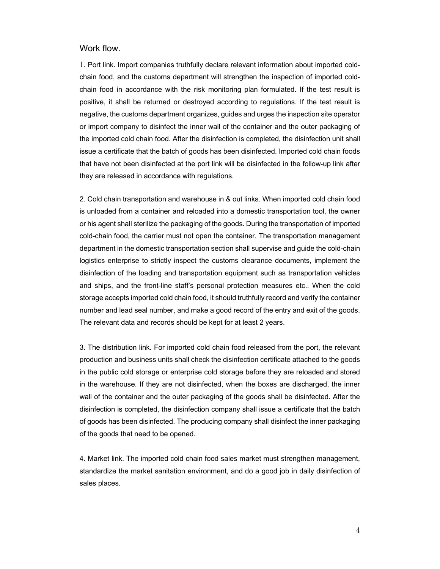## Work flow.

1. Port link. Import companies truthfully declare relevant information about imported coldchain food, and the customs department will strengthen the inspection of imported coldchain food in accordance with the risk monitoring plan formulated. If the test result is positive, it shall be returned or destroyed according to regulations. If the test result is negative, the customs department organizes, guides and urges the inspection site operator or import company to disinfect the inner wall of the container and the outer packaging of the imported cold chain food. After the disinfection is completed, the disinfection unit shall issue a certificate that the batch of goods has been disinfected. Imported cold chain foods that have not been disinfected at the port link will be disinfected in the follow-up link after they are released in accordance with regulations.

2. Cold chain transportation and warehouse in & out links. When imported cold chain food is unloaded from a container and reloaded into a domestic transportation tool, the owner or his agent shall sterilize the packaging of the goods. During the transportation of imported cold-chain food, the carrier must not open the container. The transportation management department in the domestic transportation section shall supervise and guide the cold-chain logistics enterprise to strictly inspect the customs clearance documents, implement the disinfection of the loading and transportation equipment such as transportation vehicles and ships, and the front-line staff's personal protection measures etc.. When the cold storage accepts imported cold chain food, it should truthfully record and verify the container number and lead seal number, and make a good record of the entry and exit of the goods. The relevant data and records should be kept for at least 2 years.

3. The distribution link. For imported cold chain food released from the port, the relevant production and business units shall check the disinfection certificate attached to the goods in the public cold storage or enterprise cold storage before they are reloaded and stored in the warehouse. If they are not disinfected, when the boxes are discharged, the inner wall of the container and the outer packaging of the goods shall be disinfected. After the disinfection is completed, the disinfection company shall issue a certificate that the batch of goods has been disinfected. The producing company shall disinfect the inner packaging of the goods that need to be opened.

4. Market link. The imported cold chain food sales market must strengthen management, standardize the market sanitation environment, and do a good job in daily disinfection of sales places.